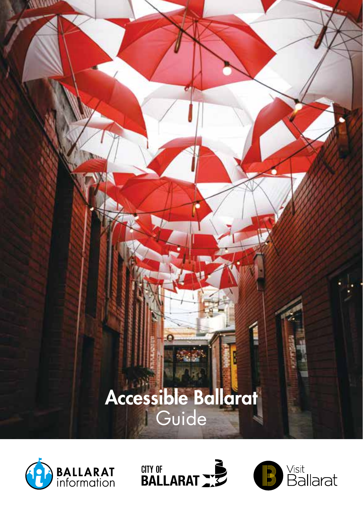





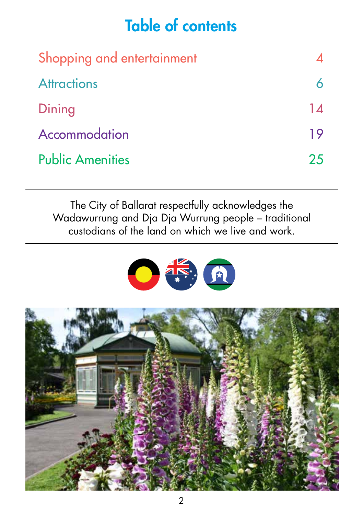## Table of contents

| Shopping and entertainment |    |
|----------------------------|----|
| <b>Attractions</b>         |    |
| Dining                     | 14 |
| Accommodation              | 19 |
| <b>Public Amenities</b>    | 25 |

The City of Ballarat respectfully acknowledges the Wadawurrung and Dja Dja Wurrung people – traditional custodians of the land on which we live and work.



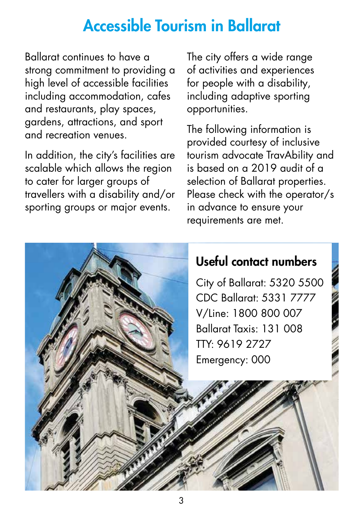### Accessible Tourism in Ballarat

Ballarat continues to have a strong commitment to providing a high level of accessible facilities including accommodation, cafes and restaurants, play spaces, gardens, attractions, and sport and recreation venues.

In addition, the city's facilities are scalable which allows the region to cater for larger groups of travellers with a disability and/or sporting groups or major events.

The city offers a wide range of activities and experiences for people with a disability, including adaptive sporting opportunities.

The following information is provided courtesy of inclusive tourism advocate TravAbility and is based on a 2019 audit of a selection of Ballarat properties. Please check with the operator/s in advance to ensure your requirements are met.

#### Useful contact numbers

City of Ballarat: 5320 5500 CDC Ballarat: 5331 7777 V/Line: 1800 800 007 Ballarat Taxis: 131 008 TTY: 9619 2727 Emergency: 000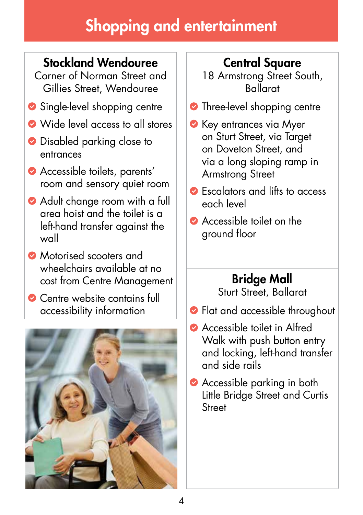# Shopping and entertainment

### Stockland Wendouree

Corner of Norman Street and Gillies Street, Wendouree

- Single-level shopping centre
- Wide level access to all stores
- **O** Disabled parking close to entrances
- Accessible toilets, parents' room and sensory quiet room
- Adult change room with a full area hoist and the toilet is a left-hand transfer against the wall
- **Motorised scooters and** wheelchairs available at no cost from Centre Management
- **Centre website contains full** accessibility information



### Central Square

18 Armstrong Street South, Ballarat

- **•** Three-level shopping centre
- **C** Key entrances via Myer on Sturt Street, via Target on Doveton Street, and via a long sloping ramp in Armstrong Street
- Escalators and lifts to access each level
- Accessible toilet on the ground floor

#### Bridge Mall

Sturt Street, Ballarat

- Flat and accessible throughout
- Accessible toilet in Alfred Walk with push button entry and locking, left-hand transfer and side rails
- **Accessible parking in both** Little Bridge Street and Curtis **Street**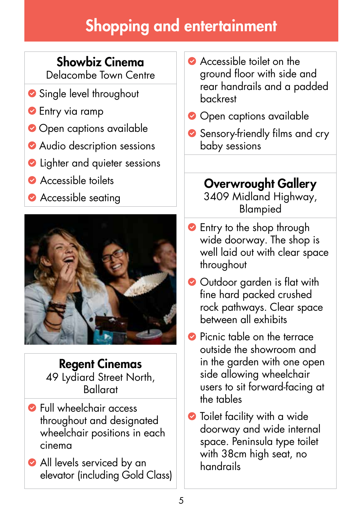# Shopping and entertainment

### Showbiz Cinema

Delacombe Town Centre

- Single level throughout
- **C** Entry via ramp
- Open captions available
- Audio description sessions
- **C** Lighter and quieter sessions
- **Accessible toilets**
- **Accessible seating**



Regent Cinemas 49 Lydiard Street North, Ballarat

- **S** Full wheelchair access throughout and designated wheelchair positions in each cinema
- All levels serviced by an elevator (including Gold Class)
- Accessible toilet on the ground floor with side and rear handrails and a padded backrest
- Open captions available
- Sensory-friendly films and cry baby sessions

Overwrought Gallery 3409 Midland Highway, Blampied

- **S** Entry to the shop through wide doorway. The shop is well laid out with clear space throughout
- Outdoor garden is flat with fine hard packed crushed rock pathways. Clear space between all exhibits
- **Picnic table on the terrace** outside the showroom and in the garden with one open side allowing wheelchair users to sit forward-facing at the tables
- **•** Toilet facility with a wide doorway and wide internal space. Peninsula type toilet with 38cm high seat, no handrails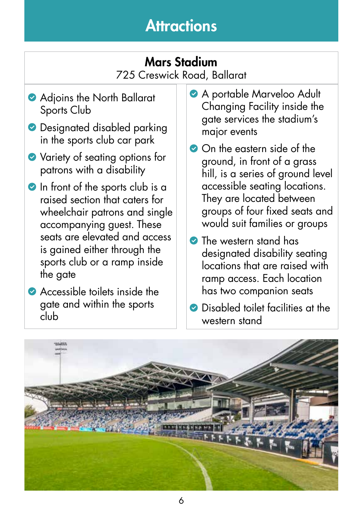#### Mars Stadium 725 Creswick Road, Ballarat

- Adjoins the North Ballarat Sports Club
- **O** Designated disabled parking in the sports club car park
- ◆ Variety of seating options for patrons with a disability
- In front of the sports club is a raised section that caters for wheelchair patrons and single accompanying guest. These seats are elevated and access is gained either through the sports club or a ramp inside the gate
- **Accessible toilets inside the** gate and within the sports club
- A portable Marveloo Adult Changing Facility inside the gate services the stadium's major events
- On the eastern side of the ground, in front of a grass hill, is a series of ground level accessible seating locations. They are located between groups of four fixed seats and would suit families or groups
- The western stand has designated disability seating locations that are raised with ramp access. Each location has two companion seats
- **C** Disabled toilet facilities at the western stand

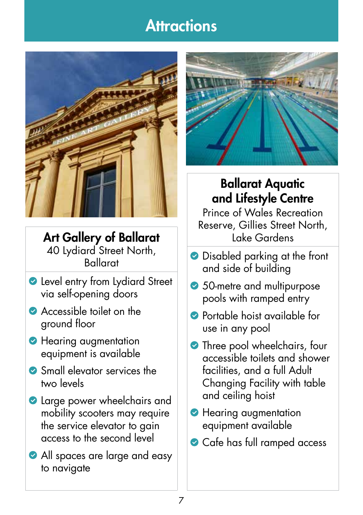

Art Gallery of Ballarat 40 Lydiard Street North, Ballarat

- **C** Level entry from Lydiard Street via self-opening doors
- Accessible toilet on the ground floor
- **Hearing augmentation** equipment is available
- Small elevator services the two levels
- **Q** Large power wheelchairs and mobility scooters may require the service elevator to gain access to the second level
- All spaces are large and easy to navigate



#### Ballarat Aquatic and Lifestyle Centre

Prince of Wales Recreation Reserve, Gillies Street North, Lake Gardens

- **•** Disabled parking at the front and side of building
- 50-metre and multipurpose pools with ramped entry
- Portable hoist available for use in any pool
- **•** Three pool wheelchairs, four accessible toilets and shower facilities, and a full Adult Changing Facility with table and ceiling hoist
- **Hearing augmentation** equipment available
- Cafe has full ramped access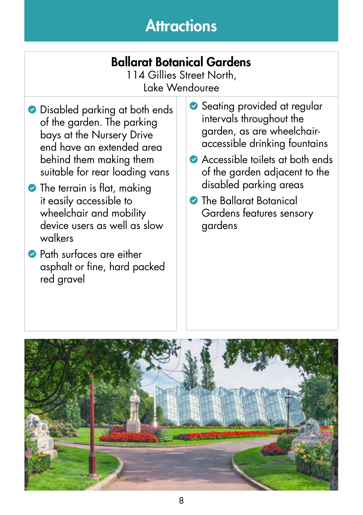### Ballarat Botanical Gardens

114 Gillies Street North, Lake Wendouree

- **O** Disabled parking at both ends of the garden. The parking bays at the Nursery Drive end have an extended area behind them making them suitable for rear loading vans
- The terrain is flat, making it easily accessible to wheelchair and mobility device users as well as slow walkers
- **Path surfaces are either** asphalt or fine, hard packed red gravel
- Seating provided at regular intervals throughout the garden, as are wheelchairaccessible drinking fountains
- Accessible toilets at both ends of the garden adjacent to the disabled parking areas
- The Ballarat Botanical Gardens features sensory gardens

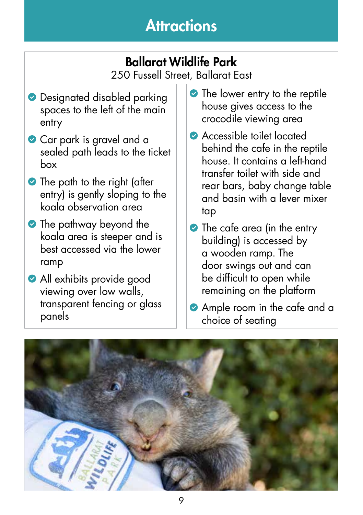## Ballarat Wildlife Park

250 Fussell Street, Ballarat East

- **O** Designated disabled parking spaces to the left of the main entry
- Car park is gravel and a sealed path leads to the ticket box
- The path to the right (after entry) is gently sloping to the koala observation area
- The pathway beyond the koala area is steeper and is best accessed via the lower ramp
- **All exhibits provide good** viewing over low walls, transparent fencing or glass panels
- The lower entry to the reptile house gives access to the crocodile viewing area
- Accessible toilet located behind the cafe in the reptile house. It contains a left-hand transfer toilet with side and rear bars, baby change table and basin with a lever mixer tap
- The cafe area (in the entry building) is accessed by a wooden ramp. The door swings out and can be difficult to open while remaining on the platform
- **Ample room in the cafe and a** choice of seating

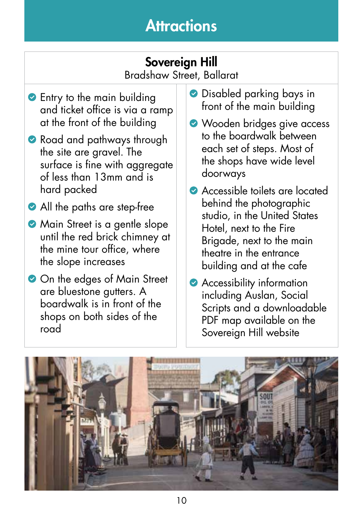### Sovereign Hill

Bradshaw Street, Ballarat

- **Entry to the main building** and ticket office is via a ramp at the front of the building
- Road and pathways through the site are gravel. The surface is fine with aggregate of less than 13mm and is hard packed
- All the paths are step-free
- **Main Street is a gentle slope** until the red brick chimney at the mine tour office, where the slope increases
- On the edges of Main Street are bluestone gutters. A boardwalk is in front of the shops on both sides of the road
- **Disabled parking bays in** front of the main building
- Wooden bridges give access to the boardwalk between each set of steps. Most of the shops have wide level doorways
- Accessible toilets are located behind the photographic studio, in the United States Hotel, next to the Fire Brigade, next to the main theatre in the entrance building and at the cafe
- **Accessibility information** including Auslan, Social Scripts and a downloadable PDF map available on the Sovereign Hill website

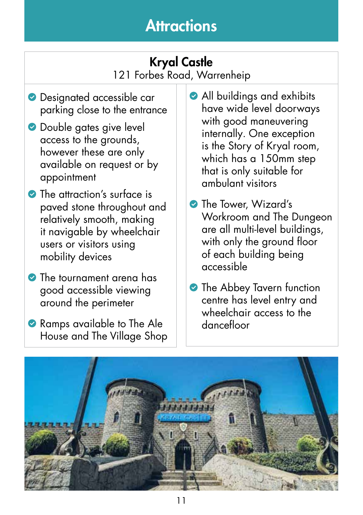#### Kryal Castle 121 Forbes Road, Warrenheip

- **Designated accessible car** parking close to the entrance
- **O** Double gates give level access to the grounds, however these are only available on request or by appointment
- The attraction's surface is paved stone throughout and relatively smooth, making it navigable by wheelchair users or visitors using mobility devices
- The tournament arena has good accessible viewing around the perimeter
- Ramps available to The Ale House and The Village Shop
- All buildings and exhibits have wide level doorways with good maneuvering internally. One exception is the Story of Kryal room, which has a 150mm step that is only suitable for ambulant visitors
- **The Tower, Wizard's** Workroom and The Dungeon are all multi-level buildings, with only the ground floor of each building being accessible
- **The Abbey Tavern function** centre has level entry and wheelchair access to the dancefloor

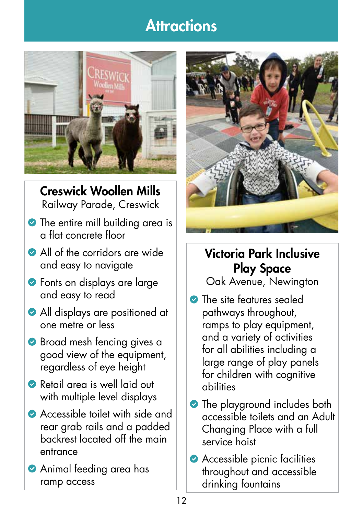

Creswick Woollen Mills Railway Parade, Creswick

- The entire mill building area is a flat concrete floor
- All of the corridors are wide and easy to navigate
- **•** Fonts on displays are large and easy to read
- All displays are positioned at one metre or less
- **Broad mesh fencing gives a** good view of the equipment, regardless of eye height
- Retail area is well laid out with multiple level displays
- Accessible toilet with side and rear grab rails and a padded backrest located off the main entrance
- Animal feeding area has ramp access



#### Victoria Park Inclusive Play Space

Oak Avenue, Newington

- **The site features sealed** pathways throughout, ramps to play equipment, and a variety of activities for all abilities including a large range of play panels for children with cognitive abilities
- **•** The playground includes both accessible toilets and an Adult Changing Place with a full service hoist
- **Accessible picnic facilities** throughout and accessible drinking fountains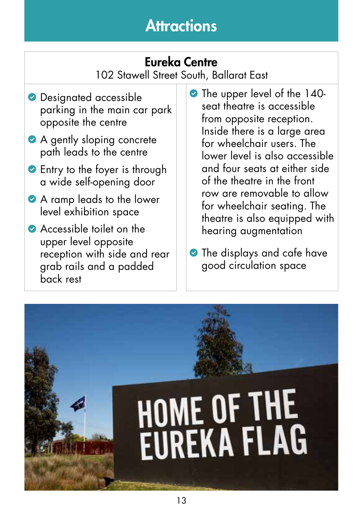### Eureka Centre

102 Stawell Street South, Ballarat East

- **O** Designated accessible parking in the main car park opposite the centre
- A gently sloping concrete path leads to the centre
- **Entry to the foyer is through** a wide self-opening door
- A ramp leads to the lower level exhibition space
- Accessible toilet on the upper level opposite reception with side and rear grab rails and a padded back rest
- The upper level of the 140seat theatre is accessible from opposite reception. Inside there is a large area for wheelchair users. The lower level is also accessible and four seats at either side of the theatre in the front row are removable to allow for wheelchair seating. The theatre is also equipped with hearing augmentation
- The displays and cafe have good circulation space

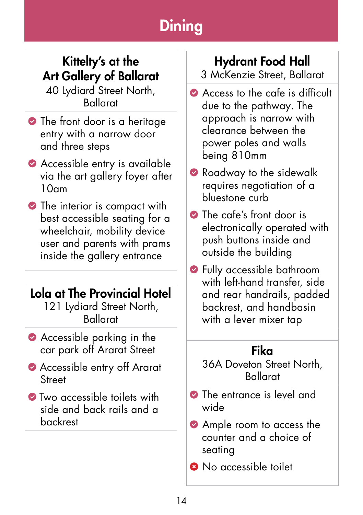#### Kittelty's at the Art Gallery of Ballarat

40 Lydiard Street North, Ballarat

- The front door is a heritage entry with a narrow door and three steps
- Accessible entry is available via the art gallery foyer after  $10<sub>nm</sub>$
- The interior is compact with best accessible seating for a wheelchair, mobility device user and parents with prams inside the gallery entrance

#### Lola at The Provincial Hotel

121 Lydiard Street North, Ballarat

- Accessible parking in the car park off Ararat Street
- Accessible entry off Ararat **Street**
- **Two accessible toilets with** side and back rails and a backrest

### Hydrant Food Hall

3 McKenzie Street, Ballarat

- Access to the cafe is difficult due to the pathway. The approach is narrow with clearance between the power poles and walls being 810mm
- Roadway to the sidewalk requires negotiation of a bluestone curb
- The cafe's front door is electronically operated with push buttons inside and outside the building
- Fully accessible bathroom with left-hand transfer, side and rear handrails, padded backrest, and handbasin with a lever mixer tap

#### Fika

36A Doveton Street North, Ballarat

- The entrance is level and wide
- Ample room to access the counter and a choice of seating
- **8** No accessible toilet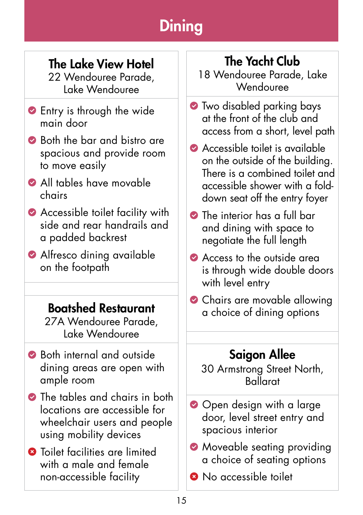### The Lake View Hotel

22 Wendouree Parade, Lake Wendouree

- **Entry is through the wide** main door
- Both the bar and bistro are spacious and provide room to move easily
- All tables have movable chairs
- Accessible toilet facility with side and rear handrails and a padded backrest
- Alfresco dining available on the footpath

#### Boatshed Restaurant

27A Wendouree Parade, Lake Wendouree

- Both internal and outside dining areas are open with ample room
- The tables and chairs in both locations are accessible for wheelchair users and people using mobility devices
- **3** Toilet facilities are limited with a male and female non-accessible facility

### The Yacht Club

18 Wendouree Parade, Lake **Wendouree** 

- **•** Two disabled parking bays at the front of the club and access from a short, level path
- Accessible toilet is available on the outside of the building. There is a combined toilet and accessible shower with a folddown seat off the entry foyer
- The interior has a full bar and dining with space to negotiate the full length
- Access to the outside area is through wide double doors with level entry
- Chairs are movable allowing a choice of dining options

### Saigon Allee

30 Armstrong Street North, Ballarat

- Open design with a large door, level street entry and spacious interior
- **Moveable seating providing** a choice of seating options
- **8** No accessible toilet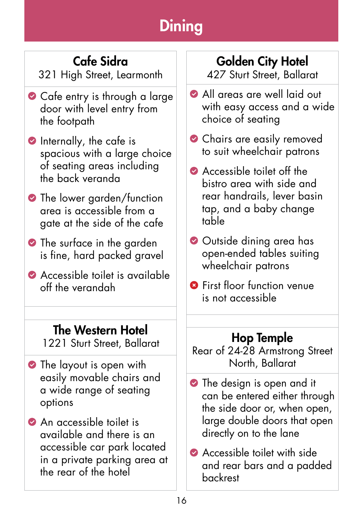### Cafe Sidra

321 High Street, Learmonth

- Cafe entry is through a large door with level entry from the footpath
- **O** Internally, the cafe is spacious with a large choice of seating areas including the back veranda
- **•** The lower garden/function area is accessible from a gate at the side of the cafe
- The surface in the garden is fine, hard packed gravel
- Accessible toilet is available off the verandah

#### The Western Hotel

1221 Sturt Street, Ballarat

- **•** The layout is open with easily movable chairs and a wide range of seating options
- An accessible toilet is available and there is an accessible car park located in a private parking area at the rear of the hotel

### Golden City Hotel

427 Sturt Street, Ballarat

- All areas are well laid out with easy access and a wide choice of seating
- **Chairs are easily removed** to suit wheelchair patrons
- Accessible toilet off the bistro area with side and rear handrails, lever basin tap, and a baby change table
- Outside dining area has open-ended tables suiting wheelchair patrons
- **<sup>3</sup>** First floor function venue is not accessible

#### Hop Temple

Rear of 24-28 Armstrong Street North, Ballarat

- The design is open and it can be entered either through the side door or, when open, large double doors that open directly on to the lane
- **Accessible toilet with side** and rear bars and a padded backrest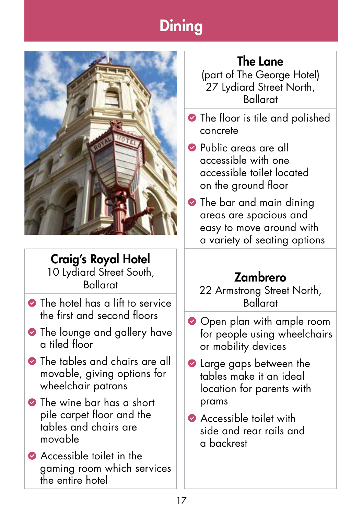

Craig's Royal Hotel 10 Lydiard Street South, Ballarat

- **O** The hotel has a lift to service the first and second floors
- **•** The lounge and gallery have a tiled floor
- **•** The tables and chairs are all movable, giving options for wheelchair patrons
- **•** The wine bar has a short pile carpet floor and the tables and chairs are movable
- Accessible toilet in the gaming room which services the entire hotel

### The Lane

(part of The George Hotel) 27 Lydiard Street North, Ballarat

- The floor is tile and polished concrete
- **Public areas are all** accessible with one accessible toilet located on the ground floor
- **•** The bar and main dining areas are spacious and easy to move around with a variety of seating options

### Zambrero

- 22 Armstrong Street North, Ballarat
- Open plan with ample room for people using wheelchairs or mobility devices
- **Q** Large gaps between the tables make it an ideal location for parents with prams
- **Accessible toilet with** side and rear rails and a backrest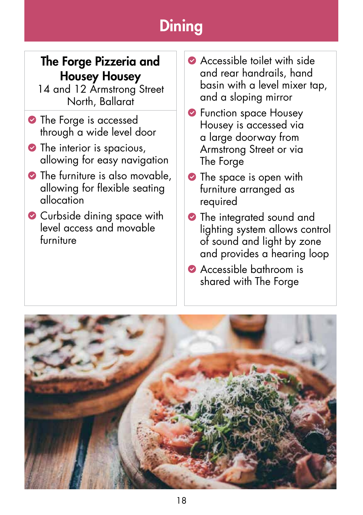#### The Forge Pizzeria and Housey Housey

14 and 12 Armstrong Street North, Ballarat

- The Forge is accessed through a wide level door
- The interior is spacious, allowing for easy navigation
- The furniture is also movable, allowing for flexible seating allocation
- Curbside dining space with level access and movable furniture
- Accessible toilet with side and rear handrails, hand basin with a level mixer tap, and a sloping mirror
- **S** Function space Housey Housey is accessed via a large doorway from Armstrong Street or via The Forge
- The space is open with furniture arranged as required
- The integrated sound and lighting system allows control of sound and light by zone and provides a hearing loop
- Accessible bathroom is shared with The Forge

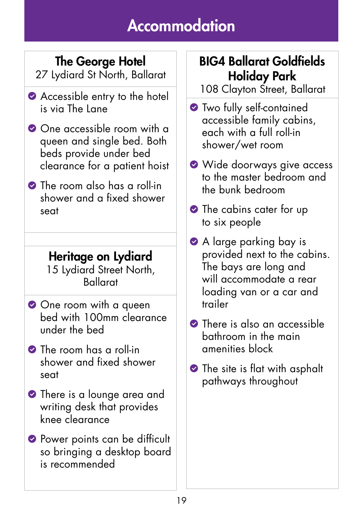### The George Hotel

27 Lydiard St North, Ballarat

- Accessible entry to the hotel is via The Lane
- One accessible room with a queen and single bed. Both beds provide under bed clearance for a patient hoist
- **The room also has a roll-in** shower and a fixed shower seat

#### Heritage on Lydiard 15 Lydiard Street North,

Ballarat

- One room with a queen bed with 100mm clearance under the bed
- The room has a roll-in shower and fixed shower seat
- **•** There is a lounge area and writing desk that provides knee clearance
- **Power points can be difficult** so bringing a desktop board is recommended

### BIG4 Ballarat Goldfields Holiday Park

108 Clayton Street, Ballarat

- **•** Two fully self-contained accessible family cabins, each with a full roll-in shower/wet room
- Wide doorways give access to the master bedroom and the bunk bedroom
- The cabins cater for up to six people
- A large parking bay is provided next to the cabins. The bays are long and will accommodate a rear loading van or a car and trailer
- **There** is also an accessible bathroom in the main amenities block
- **•** The site is flat with asphalt pathways throughout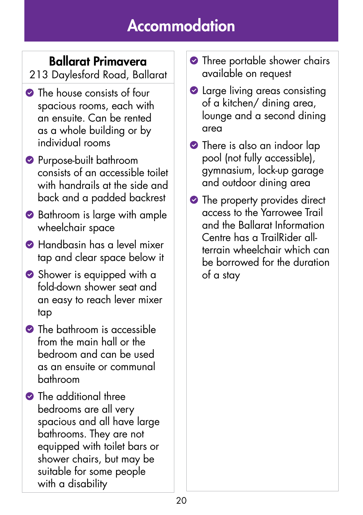### Ballarat Primavera

213 Daylesford Road, Ballarat

- The house consists of four spacious rooms, each with an ensuite. Can be rented as a whole building or by individual rooms
- **Purpose-built bathroom** consists of an accessible toilet with handrails at the side and back and a padded backrest
- **◆ Bathroom is large with ample** wheelchair space
- Handbasin has a level mixer tap and clear space below it
- Shower is equipped with a fold-down shower seat and an easy to reach lever mixer tap
- **O** The bathroom is accessible from the main hall or the bedroom and can be used as an ensuite or communal bathroom
- The additional three bedrooms are all very spacious and all have large bathrooms. They are not equipped with toilet bars or shower chairs, but may be suitable for some people with a disability
- **•** Three portable shower chairs available on request
- **2** Large living areas consisting of a kitchen/ dining area, lounge and a second dining area
- **•** There is also an indoor lap pool (not fully accessible), gymnasium, lock-up garage and outdoor dining area
- The property provides direct access to the Yarrowee Trail and the Ballarat Information Centre has a TrailRider allterrain wheelchair which can be borrowed for the duration of a stay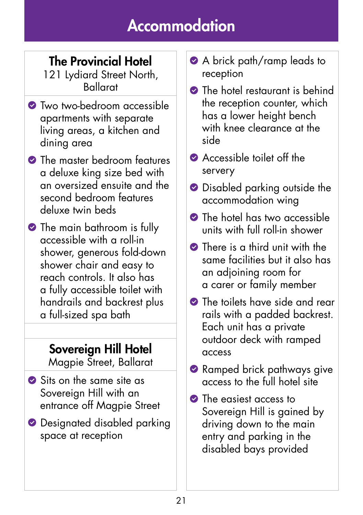### The Provincial Hotel

121 Lydiard Street North, Ballarat

- **O** Two two-bedroom accessible apartments with separate living areas, a kitchen and dining area
- **•** The master bedroom features a deluxe king size bed with an oversized ensuite and the second bedroom features deluxe twin beds
- The main bathroom is fully accessible with a roll-in shower, generous fold-down shower chair and easy to reach controls. It also has a fully accessible toilet with handrails and backrest plus a full-sized spa bath

## Sovereign Hill Hotel

Magpie Street, Ballarat

- Sits on the same site as Sovereign Hill with an entrance off Magpie Street
- **O** Designated disabled parking space at reception
- A brick path/ramp leads to reception
- **O** The hotel restaurant is behind the reception counter, which has a lower height bench with knee clearance at the side
- **Accessible toilet off the** servery
- **O** Disabled parking outside the accommodation wing
- **O** The hotel has two accessible units with full roll-in shower
- **•** There is a third unit with the same facilities but it also has an adjoining room for a carer or family member
- **O** The toilets have side and rear rails with a padded backrest. Each unit has a private outdoor deck with ramped access
- Ramped brick pathways give access to the full hotel site
- The easiest access to Sovereign Hill is gained by driving down to the main entry and parking in the disabled bays provided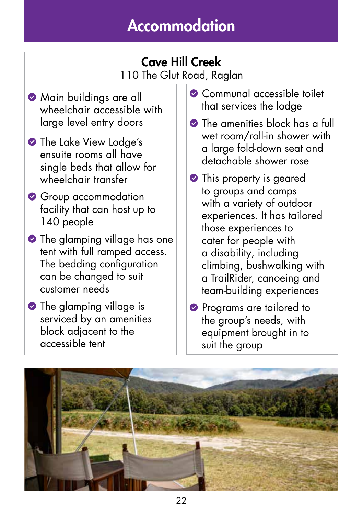#### Cave Hill Creek 110 The Glut Road, Raglan

- **Main buildings are all** wheelchair accessible with large level entry doors
- **•** The Lake View Lodge's ensuite rooms all have single beds that allow for wheelchair transfer
- Group accommodation facility that can host up to 140 people
- **•** The glamping village has one tent with full ramped access. The bedding configuration can be changed to suit customer needs
- The glamping village is serviced by an amenities block adjacent to the accessible tent
- **Communal accessible toilet** that services the lodge
- **O** The amenities block has a full wet room/roll-in shower with a large fold-down seat and detachable shower rose
- **•** This property is geared to groups and camps with a variety of outdoor experiences. It has tailored those experiences to cater for people with a disability, including climbing, bushwalking with a TrailRider, canoeing and team-building experiences
- **Programs are tailored to** the group's needs, with equipment brought in to suit the group

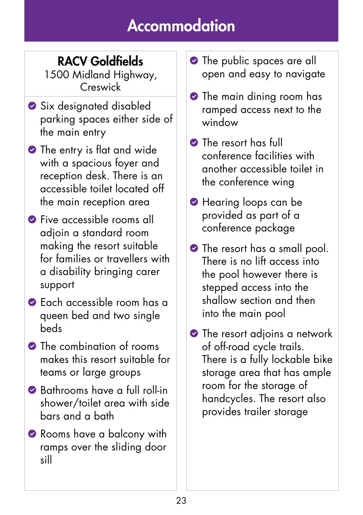### RACV Goldfields

1500 Midland Highway, Creswick

- Six designated disabled parking spaces either side of the main entry
- **•** The entry is flat and wide with a spacious foyer and reception desk. There is an accessible toilet located off the main reception area
- **S** Five accessible rooms all adjoin a standard room making the resort suitable for families or travellers with a disability bringing carer support
- Each accessible room has a queen bed and two single beds
- The combination of rooms makes this resort suitable for teams or large groups
- Bathrooms have a full roll-in shower/toilet area with side bars and a bath
- Rooms have a balcony with ramps over the sliding door sill
- **•** The public spaces are all open and easy to navigate
- **•** The main dining room has ramped access next to the window
- **The resort has full** conference facilities with another accessible toilet in the conference wing
- **•** Hearing loops can be provided as part of a conference package
- **•** The resort has a small pool. There is no lift access into the pool however there is stepped access into the shallow section and then into the main pool
- **O** The resort adjoins a network of off-road cycle trails. There is a fully lockable bike storage area that has ample room for the storage of handcycles. The resort also provides trailer storage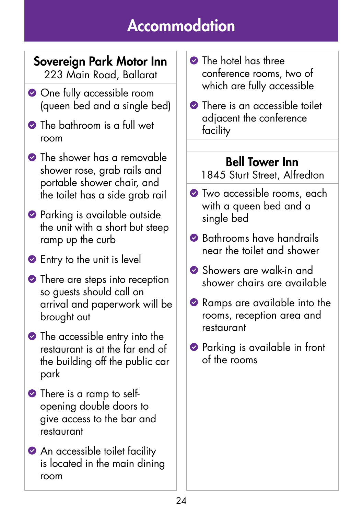#### Sovereign Park Motor Inn 223 Main Road, Ballarat

- **O** One fully accessible room (queen bed and a single bed)
- **O** The bathroom is a full wet room
- **•** The shower has a removable shower rose, grab rails and portable shower chair, and the toilet has a side grab rail
- **•** Parking is available outside the unit with a short but steep ramp up the curb
- **Entry to the unit is level**
- There are steps into reception so guests should call on arrival and paperwork will be brought out
- The accessible entry into the restaurant is at the far end of the building off the public car park
- There is a ramp to selfopening double doors to give access to the bar and restaurant
- **An accessible toilet facility** is located in the main dining room
- **C** The hotel has three conference rooms, two of which are fully accessible
- **•** There is an accessible toilet adjacent the conference facility

#### Bell Tower Inn

1845 Sturt Street, Alfredton

- **•** Two accessible rooms, each with a queen bed and a single bed
- **Bathrooms have handrails** near the toilet and shower
- Showers are walk-in and shower chairs are available
- Ramps are available into the rooms, reception area and restaurant
- **•** Parking is available in front of the rooms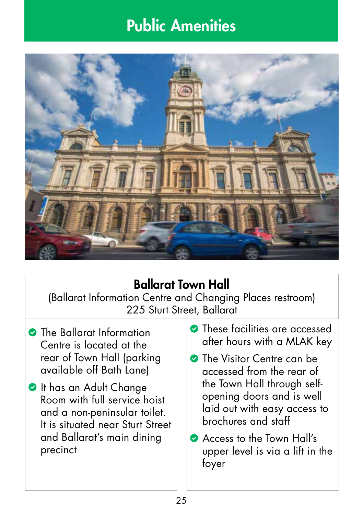## Public Amenities



### Ballarat Town Hall

(Ballarat Information Centre and Changing Places restroom) 225 Sturt Street, Ballarat

- **C** The Ballarat Information Centre is located at the rear of Town Hall (parking available off Bath Lane)
- **O** It has an Adult Change Room with full service hoist and a non-peninsular toilet. It is situated near Sturt Street and Ballarat's main dining precinct
- **C** These facilities are accessed after hours with a MLAK key
- **C** The Visitor Centre can be accessed from the rear of the Town Hall through selfopening doors and is well laid out with easy access to brochures and staff
- Access to the Town Hall's upper level is via a lift in the foyer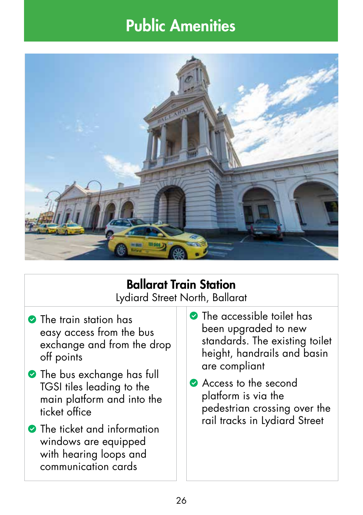## Public Amenities



### Ballarat Train Station

Lydiard Street North, Ballarat

- **•** The train station has easy access from the bus exchange and from the drop off points
- **•** The bus exchange has full TGSI tiles leading to the main platform and into the ticket office
- **The ticket and information** windows are equipped with hearing loops and communication cards
- **The accessible toilet has** been upgraded to new standards. The existing toilet height, handrails and basin are compliant
- Access to the second platform is via the pedestrian crossing over the rail tracks in Lydiard Street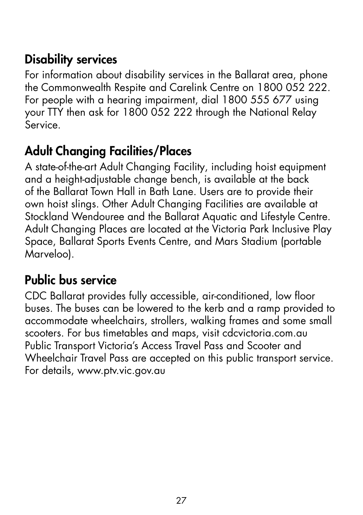#### Disability services

For information about disability services in the Ballarat area, phone the Commonwealth Respite and Carelink Centre on 1800 052 222. For people with a hearing impairment, dial 1800 555 677 using your TTY then ask for 1800 052 222 through the National Relay Service.

### Adult Changing Facilities/Places

A state-of-the-art Adult Changing Facility, including hoist equipment and a height-adjustable change bench, is available at the back of the Ballarat Town Hall in Bath Lane. Users are to provide their own hoist slings. Other Adult Changing Facilities are available at Stockland Wendouree and the Ballarat Aquatic and Lifestyle Centre. Adult Changing Places are located at the Victoria Park Inclusive Play Space, Ballarat Sports Events Centre, and Mars Stadium (portable Marveloo).

### Public bus service

CDC Ballarat provides fully accessible, air-conditioned, low floor buses. The buses can be lowered to the kerb and a ramp provided to accommodate wheelchairs, strollers, walking frames and some small scooters. For bus timetables and maps, visit cdcvictoria.com.au Public Transport Victoria's Access Travel Pass and Scooter and Wheelchair Travel Pass are accepted on this public transport service. For details, www.ptv.vic.gov.au